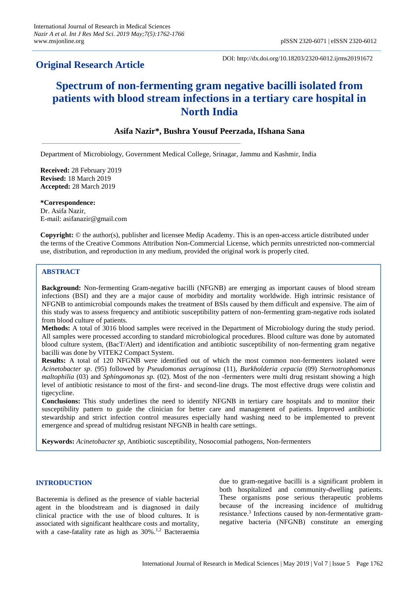## **Original Research Article**

DOI: http://dx.doi.org/10.18203/2320-6012.ijrms20191672

# **Spectrum of non-fermenting gram negative bacilli isolated from patients with blood stream infections in a tertiary care hospital in North India**

## **Asifa Nazir\*, Bushra Yousuf Peerzada, Ifshana Sana**

Department of Microbiology, Government Medical College, Srinagar, Jammu and Kashmir, India

**Received:** 28 February 2019 **Revised:** 18 March 2019 **Accepted:** 28 March 2019

**\*Correspondence:** Dr. Asifa Nazir, E-mail: asifanazir@gmail.com

**Copyright:** © the author(s), publisher and licensee Medip Academy. This is an open-access article distributed under the terms of the Creative Commons Attribution Non-Commercial License, which permits unrestricted non-commercial use, distribution, and reproduction in any medium, provided the original work is properly cited.

## **ABSTRACT**

**Background:** Non-fermenting Gram-negative bacilli (NFGNB) are emerging as important causes of blood stream infections (BSI) and they are a major cause of morbidity and mortality worldwide. High intrinsic resistance of NFGNB to antimicrobial compounds makes the treatment of BSIs caused by them difficult and expensive. The aim of this study was to assess frequency and antibiotic susceptibility pattern of non-fermenting gram-negative rods isolated from blood culture of patients.

**Methods:** A total of 3016 blood samples were received in the Department of Microbiology during the study period. All samples were processed according to standard microbiological procedures. Blood culture was done by automated blood culture system, (BacT/Alert) and identification and antibiotic susceptibility of non-fermenting gram negative bacilli was done by VITEK2 Compact System.

**Results:** A total of 120 NFGNB were identified out of which the most common non-fermenters isolated were *Acinetobacter sp.* (95) followed by *Pseudomonas aeruginosa* (11), *Burkholderia cepacia* (09) *Sternotrophomonas maltophilia* (03) and *Sphingomonas sp.* (02). Most of the non -fermenters were multi drug resistant showing a high level of antibiotic resistance to most of the first- and second-line drugs. The most effective drugs were colistin and tigecycline.

**Conclusions:** This study underlines the need to identify NFGNB in tertiary care hospitals and to monitor their susceptibility pattern to guide the clinician for better care and management of patients. Improved antibiotic stewardship and strict infection control measures especially hand washing need to be implemented to prevent emergence and spread of multidrug resistant NFGNB in health care settings.

**Keywords:** *Acinetobacter sp*, Antibiotic susceptibility, Nosocomial pathogens, Non-fermenters

#### **INTRODUCTION**

Bacteremia is defined as the presence of viable bacterial agent in the bloodstream and is diagnosed in daily clinical practice with the use of blood cultures. It is associated with significant healthcare costs and mortality, with a case-fatality rate as high as 30%.<sup>1,2</sup> Bacteraemia due to gram-negative bacilli is a significant problem in both hospitalized and community-dwelling patients. These organisms pose serious therapeutic problems because of the increasing incidence of multidrug resistance.<sup>3</sup> Infections caused by non-fermentative gramnegative bacteria (NFGNB) constitute an emerging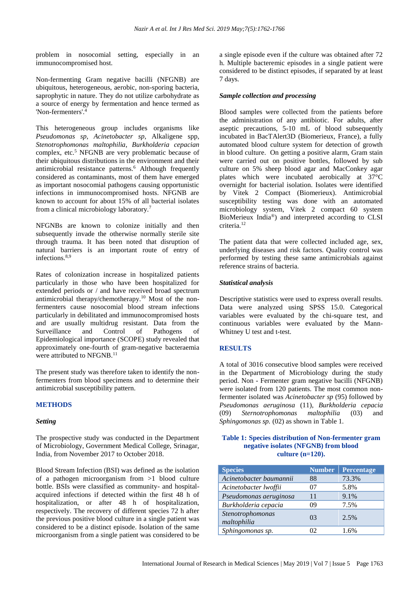problem in nosocomial setting, especially in an immunocompromised host.

Non-fermenting Gram negative bacilli (NFGNB) are ubiquitous, heterogeneous, aerobic, non-sporing bacteria, saprophytic in nature. They do not utilize carbohydrate as a source of energy by fermentation and hence termed as 'Non-fermenters'. 4

This heterogeneous group includes organisms like *Pseudomonas sp*, *Acinetobacter sp*, Alkaligene spp, *Stenotrophomonas maltophilia*, *Burkholderia cepacian* complex, etc.<sup>5</sup> NFGNB are very problematic because of their ubiquitous distributions in the environment and their antimicrobial resistance patterns.<sup>6</sup> Although frequently considered as contaminants, most of them have emerged as important nosocomial pathogens causing opportunistic infections in immunocompromised hosts. NFGNB are known to account for about 15% of all bacterial isolates from a clinical microbiology laboratory.<sup>7</sup>

NFGNBs are known to colonize initially and then subsequently invade the otherwise normally sterile site through trauma. It has been noted that disruption of natural barriers is an important route of entry of infections.<sup>8,9</sup>

Rates of colonization increase in hospitalized patients particularly in those who have been hospitalized for extended periods or / and have received broad spectrum antimicrobial therapy/chemotherapy.<sup>10</sup> Most of the nonfermenters cause nosocomial blood stream infections particularly in debilitated and immunocompromised hosts and are usually multidrug resistant. Data from the Surveillance and Control of Pathogens of Epidemiological importance (SCOPE) study revealed that approximately one-fourth of gram-negative bacteraemia were attributed to NFGNB.<sup>11</sup>

The present study was therefore taken to identify the nonfermenters from blood specimens and to determine their antimicrobial susceptibility pattern.

#### **METHODS**

#### *Setting*

The prospective study was conducted in the Department of Microbiology, Government Medical College, Srinagar, India, from November 2017 to October 2018.

Blood Stream Infection (BSI) was defined as the isolation of a pathogen microorganism from >1 blood culture bottle. BSIs were classified as community- and hospitalacquired infections if detected within the first 48 h of hospitalization, or after 48 h of hospitalization, respectively. The recovery of different species 72 h after the previous positive blood culture in a single patient was considered to be a distinct episode. Isolation of the same microorganism from a single patient was considered to be a single episode even if the culture was obtained after 72 h. Multiple bacteremic episodes in a single patient were considered to be distinct episodes, if separated by at least 7 days.

#### *Sample collection and processing*

Blood samples were collected from the patients before the administration of any antibiotic. For adults, after aseptic precautions, 5-10 mL of blood subsequently incubated in BacTAlert3D (Biomerieux, France), a fully automated blood culture system for detection of growth in blood culture. On getting a positive alarm, Gram stain were carried out on positive bottles, followed by sub culture on 5% sheep blood agar and MacConkey agar plates which were incubated aerobically at 37°C overnight for bacterial isolation. Isolates were identified by Vitek 2 Compact (Biomerieux). Antimicrobial susceptibility testing was done with an automated microbiology system, Vitek 2 compact 60 system BioMerieux India®) and interpreted according to CLSI criteria.<sup>12</sup>

The patient data that were collected included age, sex, underlying diseases and risk factors. Quality control was performed by testing these same antimicrobials against reference strains of bacteria.

#### *Statistical analysis*

Descriptive statistics were used to express overall results. Data were analyzed using SPSS 15.0. Categorical variables were evaluated by the chi-square test, and continuous variables were evaluated by the Mann-Whitney U test and t-test.

#### **RESULTS**

A total of 3016 consecutive blood samples were received in the Department of Microbiology during the study period. Non - Fermenter gram negative bacilli (NFGNB) were isolated from 120 patients. The most common nonfermenter isolated was *Acinetobacter sp* (95) followed by *Pseudomonas aeruginosa* (11), *Burkholderia cepacia* (09) *Sternotrophomonas maltophilia* (03) and *Sphingomonas sp.* (02) as shown in Table 1.

#### **Table 1: Species distribution of Non-fermenter gram negative isolates (NFGNB) from blood culture (n=120).**

| <b>Species</b>                  | <b>Number</b> | Percentage |
|---------------------------------|---------------|------------|
| Acinetobacter baumannii         | 88            | 73.3%      |
| Acinetobacter lwoffii           | 07            | 5.8%       |
| Pseudomonas aeruginosa          | 11            | 9.1%       |
| Burkholderia cepacia            | 09            | 7.5%       |
| Stenotrophomonas<br>maltophilia | 03            | 2.5%       |
| Sphingomonas sp.                | D)            | $1.6\%$    |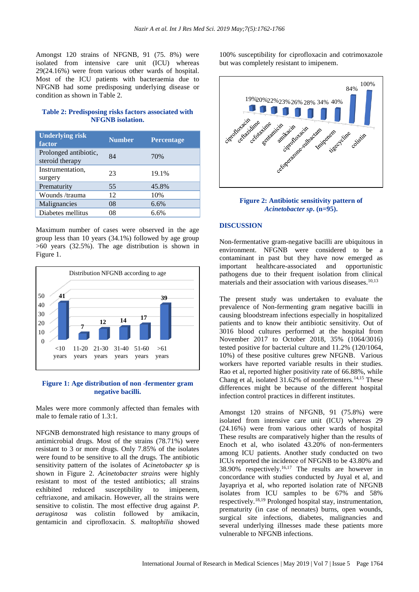Amongst 120 strains of NFGNB, 91 (75. 8%) were isolated from intensive care unit (ICU) whereas 29(24.16%) were from various other wards of hospital. Most of the ICU patients with bacteraemia due to NFGNB had some predisposing underlying disease or condition as shown in Table 2.

## **Table 2: Predisposing risks factors associated with NFGNB isolation.**

| <b>Underlying risk</b><br>factor         | <b>Number</b> | Percentage |
|------------------------------------------|---------------|------------|
| Prolonged antibiotic,<br>steroid therapy | 84            | 70%        |
| Instrumentation,<br>surgery              | 23            | 19.1%      |
| Prematurity                              | 55            | 45.8%      |
| Wounds/trauma                            | 12            | 10%        |
| Malignancies                             | 08            | 6.6%       |
| Diabetes mellitus                        | 08            | 6.6%       |

Maximum number of cases were observed in the age group less than 10 years (34.1%) followed by age group >60 years (32.5%). The age distribution is shown in Figure 1.



#### **Figure 1: Age distribution of non -fermenter gram negative bacilli.**

Males were more commonly affected than females with male to female ratio of 1.3:1.

NFGNB demonstrated high resistance to many groups of antimicrobial drugs. Most of the strains (78.71%) were resistant to 3 or more drugs. Only 7.85% of the isolates were found to be sensitive to all the drugs. The antibiotic sensitivity pattern of the isolates of *Acinetobacter sp* is shown in Figure 2. *Acinetobacter strains* were highly resistant to most of the tested antibiotics; all strains exhibited reduced susceptibility to imipenem, ceftriaxone, and amikacin. However, all the strains were sensitive to colistin. The most effective drug against *P. aeruginosa* was colistin followed by amikacin, gentamicin and ciprofloxacin. *S. maltophilia* showed

100% susceptibility for ciprofloxacin and cotrimoxazole but was completely resistant to imipenem.



#### **Figure 2: Antibiotic sensitivity pattern of**  *Acinetobacter sp***. (n=95).**

#### **DISCUSSION**

Non-fermentative gram-negative bacilli are ubiquitous in environment. NFGNB were considered to be a contaminant in past but they have now emerged as important healthcare-associated and opportunistic pathogens due to their frequent isolation from clinical materials and their association with various diseases.  $10,13$ 

The present study was undertaken to evaluate the prevalence of Non-fermenting gram negative bacilli in causing bloodstream infections especially in hospitalized patients and to know their antibiotic sensitivity. Out of 3016 blood cultures performed at the hospital from November 2017 to October 2018, 35% (1064/3016) tested positive for bacterial culture and 11.2% (120/1064, 10%) of these positive cultures grew NFGNB. Various workers have reported variable results in their studies. Rao et al, reported higher positivity rate of 66.88%, while Chang et al, isolated  $31.62\%$  of nonfermenters.<sup>14,15</sup> These differences might be because of the different hospital infection control practices in different institutes.

Amongst 120 strains of NFGNB, 91 (75.8%) were isolated from intensive care unit (ICU) whereas 29 (24.16%) were from various other wards of hospital These results are comparatively higher than the results of Enoch et al, who isolated 43.20% of non-fermenters among ICU patients. Another study conducted on two ICUs reported the incidence of NFGNB to be 43.80% and 38.90% respectively. 16,17 The results are however in concordance with studies conducted by Juyal et al, and Jayapriya et al, who reported isolation rate of NFGNB isolates from ICU samples to be 67% and 58% respectively.18,19 Prolonged hospital stay, instrumentation, prematurity (in case of neonates) burns, open wounds, surgical site infections, diabetes, malignancies and several underlying illnesses made these patients more vulnerable to NFGNB infections.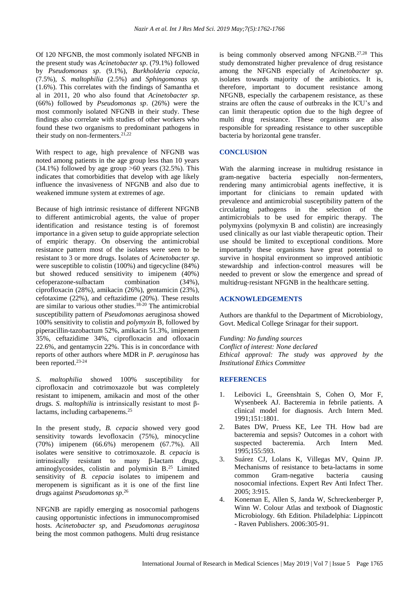Of 120 NFGNB, the most commonly isolated NFGNB in the present study was *Acinetobacter sp*. (79.1%) followed by *Pseudomonas sp*. (9.1%), *Burkholderia cepacia*, (7.5%), *S. maltophilia* (2.5%) and *Sphingomonas sp.* (1.6%). This correlates with the findings of Samantha et al in 2011, 20 who also found that *Acinetobacter sp*. (66%) followed by *Pseudomonas sp*. (26%) were the most commonly isolated NFGNB in their study. These findings also correlate with studies of other workers who found these two organisms to predominant pathogens in their study on non-fermenters.  $21,22$ 

With respect to age, high prevalence of NFGNB was noted among patients in the age group less than 10 years  $(34.1\%)$  followed by age group  $>60$  years  $(32.5\%)$ . This indicates that comorbidities that develop with age likely influence the invasiveness of NFGNB and also due to weakened immune system at extremes of age.

Because of high intrinsic resistance of different NFGNB to different antimicrobial agents, the value of proper identification and resistance testing is of foremost importance in a given setup to guide appropriate selection of empiric therapy. On observing the antimicrobial resistance pattern most of the isolates were seen to be resistant to 3 or more drugs. Isolates of *Acinetobacter sp*. were susceptible to colistin (100%) and tigecycline (84%) but showed reduced sensitivity to imipenem (40%) cefoperazone-sulbactam combination (34%), ciprofloxacin (28%), amikacin (26%), gentamicin (23%), cefotaxime (22%), and ceftazidime (20%). These results are similar to various other studies.18-20 The antimicrobial susceptibility pattern of *Pseudomonas* aeruginosa showed 100% sensitivity to colistin and *polymyxin* B, followed by piperacillin-tazobactum 52%, amikacin 51.3%, imipenem 35%, ceftazidime 34%, ciprofloxacin and ofloxacin 22.6%, and gentamycin 22%. This is in concordance with reports of other authors where MDR in *P. aeruginosa* has been reported.23-24

*S. maltophilia* showed 100% susceptibility for ciprofloxacin and cotrimoxazole but was completely resistant to imipenem, amikacin and most of the other drugs. *S. maltophilia* is intrinsically resistant to most βlactams, including carbapenems.<sup>25</sup>

In the present study, *B. cepacia* showed very good sensitivity towards levofloxacin (75%), minocycline (70%) imipenem (66.6%) meropenem (67.7%). All isolates were sensitive to cotrimoxazole. *B. cepacia* is intrinsically resistant to many β-lactam drugs, aminoglycosides, colistin and polymixin B.<sup>25</sup> Limited sensitivity of *B. cepacia* isolates to imipenem and meropenem is significant as it is one of the first line drugs against *Pseudomonas sp*. 26

NFGNB are rapidly emerging as nosocomial pathogens causing opportunistic infections in immunocompromised hosts. *Acinetobacter sp*, and *Pseudomonas aeruginosa* being the most common pathogens. Multi drug resistance is being commonly observed among NFGNB.<sup>27,28</sup> This study demonstrated higher prevalence of drug resistance among the NFGNB especially of *Acinetobacter sp.* isolates towards majority of the antibiotics. It is, therefore, important to document resistance among NFGNB, especially the carbapenem resistance, as these strains are often the cause of outbreaks in the ICU's and can limit therapeutic option due to the high degree of multi drug resistance. These organisms are also responsible for spreading resistance to other susceptible bacteria by horizontal gene transfer.

## **CONCLUSION**

With the alarming increase in multidrug resistance in gram-negative bacteria especially non-fermenters, rendering many antimicrobial agents ineffective, it is important for clinicians to remain updated with prevalence and antimicrobial susceptibility pattern of the circulating pathogens in the selection of the antimicrobials to be used for empiric therapy. The polymyxins (polymyxin B and colistin) are increasingly used clinically as our last viable therapeutic option. Their use should be limited to exceptional conditions. More importantly these organisms have great potential to survive in hospital environment so improved antibiotic stewardship and infection‑control measures will be needed to prevent or slow the emergence and spread of multidrug-resistant NFGNB in the healthcare setting.

## **ACKNOWLEDGEMENTS**

Authors are thankful to the Department of Microbiology, Govt. Medical College Srinagar for their support.

*Funding: No funding sources Conflict of interest: None declared Ethical approval: The study was approved by the Institutional Ethics Committee*

## **REFERENCES**

- 1. Leibovici L, Greenshtain S, Cohen O, Mor F, Wysenbeek AJ. Bacteremia in febrile patients. A clinical model for diagnosis. Arch Intern Med. 1991;151:1801.
- 2. Bates DW, Pruess KE, Lee TH. How bad are bacteremia and sepsis? Outcomes in a cohort with suspected bacteremia. Arch Intern Med. 1995;155:593.
- 3. Suárez CJ, Lolans K, Villegas MV, Quinn JP. Mechanisms of resistance to beta-lactams in some common Gram-negative bacteria causing nosocomial infections. Expert Rev Anti Infect Ther. 2005; 3:915.
- 4. Koneman E, Allen S, Janda W, Schreckenberger P, Winn W. Colour Atlas and textbook of Diagnostic Microbiology. 6th Edition. Philadelphia: Lippincott - Raven Publishers. 2006:305-91.